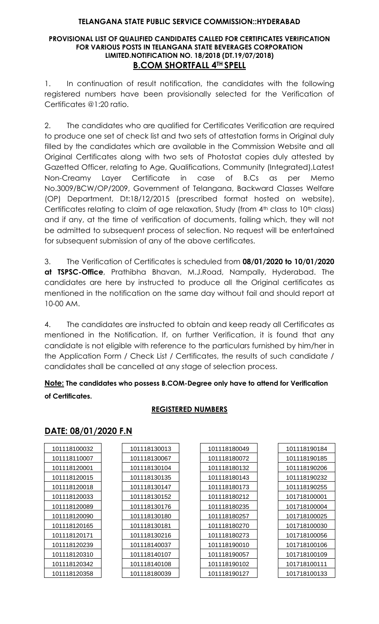#### **PROVISIONAL LIST OF QUALIFIED CANDIDATES CALLED FOR CERTIFICATES VERIFICATION FOR VARIOUS POSTS IN TELANGANA STATE BEVERAGES CORPORATION LIMITED.NOTIFICATION NO. 18/2018 (DT.19/07/2018) B.COM SHORTFALL 4TH SPELL**

1. In continuation of result notification, the candidates with the following registered numbers have been provisionally selected for the Verification of Certificates @1:20 ratio.

2. The candidates who are qualified for Certificates Verification are required to produce one set of check list and two sets of attestation forms in Original duly filled by the candidates which are available in the Commission Website and all Original Certificates along with two sets of Photostat copies duly attested by Gazetted Officer, relating to Age, Qualifications, Community (Integrated),Latest Non-Creamy Layer Certificate in case of B.Cs as per Memo No.3009/BCW/OP/2009, Government of Telangana, Backward Classes Welfare (OP) Department, Dt:18/12/2015 (prescribed format hosted on website), Certificates relating to claim of age relaxation, Study (from 4<sup>th</sup> class to 10<sup>th</sup> class) and if any, at the time of verification of documents, failing which, they will not be admitted to subsequent process of selection. No request will be entertained for subsequent submission of any of the above certificates.

3. The Verification of Certificates is scheduled from **08/01/2020 to 10/01/2020 at TSPSC-Office**, Prathibha Bhavan, M.J.Road, Nampally, Hyderabad. The candidates are here by instructed to produce all the Original certificates as mentioned in the notification on the same day without fail and should report at 10-00 AM.

4. The candidates are instructed to obtain and keep ready all Certificates as mentioned in the Notification. If, on further Verification, it is found that any candidate is not eligible with reference to the particulars furnished by him/her in the Application Form / Check List / Certificates, the results of such candidate / candidates shall be cancelled at any stage of selection process.

## **Note: The candidates who possess B.COM-Degree only have to attend for Verification of Certificates.**

## **REGISTERED NUMBERS**

### $\mathbf{I}$

**DATE: 08/01/2020 F.N**

| 101118100032 | 101118130013 |
|--------------|--------------|
| 101118110007 | 101118130067 |
| 101118120001 | 101118130104 |
| 101118120015 | 101118130135 |
| 101118120018 | 101118130147 |
| 101118120033 | 101118130152 |
| 101118120089 | 101118130176 |
| 101118120090 | 101118130180 |
| 101118120165 | 101118130181 |
| 101118120171 | 101118130216 |
| 101118120239 | 101118140037 |
| 101118120310 | 101118140107 |
| 101118120342 | 101118140108 |
| 101118120358 | 101118180039 |

| 101118180049 |
|--------------|
| 101118180072 |
| 101118180132 |
| 101118180143 |
| 101118180173 |
| 101118180212 |
| 101118180235 |
| 101118180257 |
| 101118180270 |
| 101118180273 |
| 101118190010 |
| 101118190057 |
| 101118190102 |
| 101118190127 |

| 101118190184 |
|--------------|
| 101118190185 |
| 101118190206 |
| 101118190232 |
| 101118190255 |
| 101718100001 |
| 101718100004 |
| 101718100025 |
| 101718100030 |
| 101718100056 |
| 101718100106 |
| 101718100109 |
| 101718100111 |
| 101718100133 |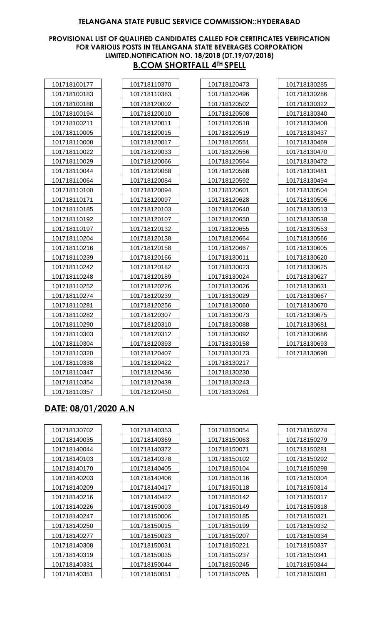#### **PROVISIONAL LIST OF QUALIFIED CANDIDATES CALLED FOR CERTIFICATES VERIFICATION FOR VARIOUS POSTS IN TELANGANA STATE BEVERAGES CORPORATION LIMITED.NOTIFICATION NO. 18/2018 (DT.19/07/2018) B.COM SHORTFALL 4TH SPELL**

| 101718100177 |  |
|--------------|--|
| 101718100183 |  |
| 101718100188 |  |
| 101718100194 |  |
| 101718100211 |  |
| 101718110005 |  |
| 101718110008 |  |
| 101718110022 |  |
| 101718110029 |  |
| 101718110044 |  |
| 101718110064 |  |
| 101718110100 |  |
| 101718110171 |  |
| 101718110185 |  |
| 101718110192 |  |
| 101718110197 |  |
| 101718110204 |  |
| 101718110216 |  |
| 101718110239 |  |
| 101718110242 |  |
| 101718110248 |  |
| 101718110252 |  |
| 101718110274 |  |
| 101718110281 |  |
| 101718110282 |  |
| 101718110290 |  |
| 101718110303 |  |
| 101718110304 |  |
| 101718110320 |  |
| 101718110338 |  |
| 101718110347 |  |
| 101718110354 |  |
| 101718110357 |  |
|              |  |

| 101718110370 |
|--------------|
| 101718110383 |
| 101718120002 |
| 101718120010 |
| 101718120011 |
| 101718120015 |
| 101718120017 |
| 101718120033 |
| 101718120066 |
| 101718120068 |
| 101718120084 |
| 101718120094 |
| 101718120097 |
| 101718120103 |
| 101718120107 |
| 101718120132 |
| 101718120138 |
| 101718120158 |
| 101718120166 |
| 101718120182 |
| 101718120189 |
| 101718120226 |
| 101718120239 |
| 101718120256 |
| 101718120307 |
| 101718120310 |
| 101718120312 |
| 101718120393 |
| 101718120407 |
| 101718120422 |
| 101718120436 |
| 101718120439 |
| 101718120450 |

| 101718120473 |
|--------------|
| 101718120496 |
| 101718120502 |
| 101718120508 |
| 101718120518 |
| 101718120519 |
| 101718120551 |
| 101718120556 |
| 101718120564 |
| 101718120568 |
| 101718120592 |
| 101718120601 |
| 101718120628 |
| 101718120640 |
| 101718120650 |
| 101718120655 |
| 101718120664 |
| 101718120667 |
| 101718130011 |
| 101718130023 |
| 101718130024 |
| 101718130026 |
| 101718130029 |
| 101718130060 |
| 101718130073 |
| 101718130088 |
| 101718130092 |
| 101718130158 |
| 101718130173 |
| 101718130217 |
| 101718130230 |
| 101718130243 |
| 101718130261 |

| 101718130285 |
|--------------|
| 101718130286 |
| 101718130322 |
| 101718130340 |
| 101718130408 |
| 101718130437 |
| 101718130469 |
| 101718130470 |
| 101718130472 |
| 101718130481 |
| 101718130494 |
| 101718130504 |
| 101718130506 |
| 101718130513 |
| 101718130538 |
| 101718130553 |
| 101718130566 |
| 101718130605 |
| 101718130620 |
| 101718130625 |
| 101718130627 |
| 101718130631 |
| 101718130667 |
| 101718130670 |
| 101718130675 |
| 101718130681 |
| 101718130686 |
| 101718130693 |
| 101718130698 |
|              |

# **DATE: 08/01/2020 A.N**

| 101718130702 | 101718140353 |
|--------------|--------------|
| 101718140035 | 101718140369 |
| 101718140044 | 101718140372 |
| 101718140103 | 101718140378 |
| 101718140170 | 101718140405 |
| 101718140203 | 101718140406 |
| 101718140209 | 101718140417 |
| 101718140216 | 101718140422 |
| 101718140226 | 101718150003 |
| 101718140247 | 101718150006 |
| 101718140250 | 101718150015 |
| 101718140277 | 101718150023 |
| 101718140308 | 101718150031 |
| 101718140319 | 101718150035 |
| 101718140331 | 101718150044 |
| 101718140351 | 101718150051 |

| 101718150054 |  |
|--------------|--|
| 101718150063 |  |
| 101718150071 |  |
| 101718150102 |  |
| 101718150104 |  |
| 101718150116 |  |
| 101718150118 |  |
| 101718150142 |  |
| 101718150149 |  |
| 101718150185 |  |
| 101718150199 |  |
| 101718150207 |  |
| 101718150221 |  |
| 101718150237 |  |
| 101718150245 |  |
| 101718150265 |  |

| 101718150274 |
|--------------|
| 101718150279 |
| 101718150281 |
| 101718150292 |
| 101718150298 |
| 101718150304 |
| 101718150314 |
| 101718150317 |
| 101718150318 |
| 101718150321 |
| 101718150332 |
| 101718150334 |
| 101718150337 |
| 101718150341 |
| 101718150344 |
| 101718150381 |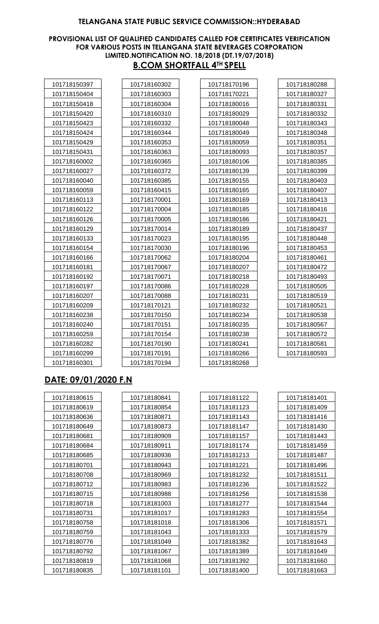#### **PROVISIONAL LIST OF QUALIFIED CANDIDATES CALLED FOR CERTIFICATES VERIFICATION FOR VARIOUS POSTS IN TELANGANA STATE BEVERAGES CORPORATION LIMITED.NOTIFICATION NO. 18/2018 (DT.19/07/2018) B.COM SHORTFALL 4TH SPELL**

| 101718150397 |  |
|--------------|--|
| 101718150404 |  |
| 101718150418 |  |
| 101718150420 |  |
| 101718150423 |  |
| 101718150424 |  |
| 101718150429 |  |
| 101718150431 |  |
| 101718160002 |  |
| 101718160027 |  |
| 101718160040 |  |
| 101718160059 |  |
| 101718160113 |  |
| 101718160122 |  |
| 101718160126 |  |
| 101718160129 |  |
| 101718160133 |  |
| 101718160154 |  |
| 101718160166 |  |
| 101718160181 |  |
| 101718160192 |  |
| 101718160197 |  |
| 101718160207 |  |
| 101718160209 |  |
| 101718160238 |  |
| 101718160240 |  |
| 101718160259 |  |
| 101718160282 |  |
| 101718160299 |  |
| 101718160301 |  |

| 10171816 <u>0302</u> |
|----------------------|
| 101718160303         |
| 101718160304         |
| 101718160310         |
| 101718160332         |
| 101718160344         |
| 101718160353         |
| 101718160363         |
| 101718160365         |
| 101718160372         |
| 101718160385         |
| 101718160415         |
| 101718170001         |
| 101718170004         |
| 101718170005         |
| 101718170014         |
| 101718170023         |
| 101718170030         |
| 101718170062         |
| 101718170067         |
| 101718170071         |
| 101718170086         |
| 101718170088         |
| 101718170121         |
| 101718170150         |
| 101718170151         |
| 101718170154         |
| 101718170190         |
| 101718170191         |
| 101718170194         |

| 101718170196 |
|--------------|
| 101718170221 |
| 101718180016 |
| 101718180029 |
| 101718180048 |
| 101718180049 |
| 101718180059 |
| 101718180093 |
| 101718180106 |
| 101718180139 |
| 101718180155 |
| 101718180165 |
| 101718180169 |
| 101718180185 |
| 101718180186 |
| 101718180189 |
| 101718180195 |
| 101718180196 |
| 101718180204 |
| 101718180207 |
| 101718180218 |
| 101718180228 |
| 101718180231 |
| 101718180232 |
| 101718180234 |
| 101718180235 |
| 101718180238 |
| 101718180241 |
| 101718180266 |
| 101718180268 |

| 101718180288 |
|--------------|
| 101718180327 |
| 101718180331 |
| 101718180332 |
| 101718180343 |
| 101718180348 |
| 101718180351 |
| 101718180357 |
| 101718180385 |
| 101718180399 |
| 101718180403 |
| 101718180407 |
| 101718180413 |
| 101718180416 |
| 101718180421 |
| 101718180437 |
| 101718180448 |
| 101718180453 |
| 101718180461 |
| 101718180472 |
| 101718180493 |
| 101718180505 |
| 101718180519 |
| 101718180521 |
| 101718180538 |
| 101718180567 |
| 101718180572 |
| 101718180581 |
| 101718180593 |
|              |

# **DATE: 09/01/2020 F.N**

| 101718180615 | 101718180841 | 101718181122 | 101718181401 |
|--------------|--------------|--------------|--------------|
| 101718180619 | 101718180854 | 101718181123 | 101718181409 |
| 101718180636 | 101718180871 | 101718181143 | 101718181416 |
| 101718180649 | 101718180873 | 101718181147 | 101718181430 |
| 101718180681 | 101718180909 | 101718181157 | 101718181443 |
| 101718180684 | 101718180911 | 101718181174 | 101718181459 |
| 101718180685 | 101718180936 | 101718181213 | 101718181487 |
| 101718180701 | 101718180943 | 101718181221 | 101718181496 |
| 101718180708 | 101718180969 | 101718181232 | 101718181511 |
| 101718180712 | 101718180983 | 101718181236 | 101718181522 |
| 101718180715 | 101718180988 | 101718181256 | 101718181538 |
| 101718180718 | 101718181003 | 101718181277 | 101718181544 |
| 101718180731 | 101718181017 | 101718181283 | 101718181554 |
| 101718180758 | 101718181018 | 101718181306 | 101718181571 |
| 101718180759 | 101718181043 | 101718181333 | 101718181579 |
| 101718180776 | 101718181049 | 101718181382 | 101718181643 |
| 101718180792 | 101718181067 | 101718181389 | 101718181649 |
| 101718180819 | 101718181068 | 101718181392 | 101718181660 |
| 101718180835 | 101718181101 | 101718181400 | 101718181663 |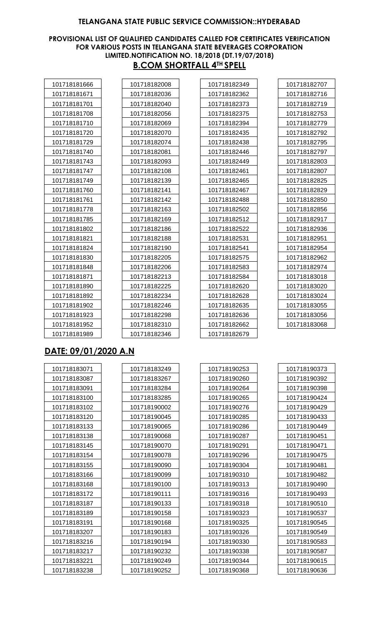#### **PROVISIONAL LIST OF QUALIFIED CANDIDATES CALLED FOR CERTIFICATES VERIFICATION FOR VARIOUS POSTS IN TELANGANA STATE BEVERAGES CORPORATION LIMITED.NOTIFICATION NO. 18/2018 (DT.19/07/2018) B.COM SHORTFALL 4TH SPELL**

| 101718181666 |  |
|--------------|--|
| 101718181671 |  |
| 101718181701 |  |
| 101718181708 |  |
| 101718181710 |  |
| 101718181720 |  |
| 101718181729 |  |
| 101718181740 |  |
| 101718181743 |  |
| 101718181747 |  |
| 101718181749 |  |
| 101718181760 |  |
| 101718181761 |  |
| 101718181778 |  |
| 101718181785 |  |
| 101718181802 |  |
| 101718181821 |  |
| 101718181824 |  |
| 101718181830 |  |
| 101718181848 |  |
| 101718181871 |  |
| 101718181890 |  |
| 101718181892 |  |
| 101718181902 |  |
| 101718181923 |  |
| 101718181952 |  |
| 101718181989 |  |

| 101718182008 |
|--------------|
| 101718182036 |
| 101718182040 |
| 101718182056 |
| 101718182069 |
| 101718182070 |
| 101718182074 |
| 101718182081 |
| 101718182093 |
| 101718182108 |
| 101718182139 |
| 101718182141 |
| 101718182142 |
| 101718182163 |
| 101718182169 |
| 101718182186 |
| 101718182188 |
| 101718182190 |
| 101718182205 |
| 101718182206 |
| 101718182213 |
| 101718182225 |
| 101718182234 |
| 101718182246 |
| 101718182298 |
| 101718182310 |
| 101718182346 |

| 101718182349 |
|--------------|
| 101718182362 |
| 101718182373 |
| 101718182375 |
| 101718182394 |
| 101718182435 |
| 101718182438 |
| 101718182446 |
| 101718182449 |
| 101718182461 |
| 101718182465 |
| 101718182467 |
| 101718182488 |
| 101718182502 |
| 101718182512 |
| 101718182522 |
| 101718182531 |
| 101718182541 |
| 101718182575 |
| 101718182583 |
| 101718182584 |
| 101718182620 |
| 101718182628 |
| 101718182635 |
| 101718182636 |
| 101718182662 |
| 101718182679 |
|              |

| 101718182707 |
|--------------|
| 101718182716 |
| 101718182719 |
| 101718182753 |
| 101718182779 |
| 101718182792 |
| 101718182795 |
| 101718182797 |
| 101718182803 |
| 101718182807 |
| 101718182825 |
| 101718182829 |
| 101718182850 |
| 101718182856 |
| 101718182917 |
| 101718182936 |
| 101718182951 |
| 101718182954 |
| 101718182962 |
| 101718182974 |
| 101718183018 |
| 101718183020 |
| 101718183024 |
| 101718183055 |
| 101718183056 |
| 101718183068 |
|              |

# **DATE: 09/01/2020 A.N**

| 101718183071 |  |
|--------------|--|
| 101718183087 |  |
| 101718183091 |  |
| 101718183100 |  |
| 101718183102 |  |
| 101718183120 |  |
| 101718183133 |  |
| 101718183138 |  |
| 101718183145 |  |
| 101718183154 |  |
| 101718183155 |  |
| 101718183166 |  |
| 101718183168 |  |
| 101718183172 |  |
| 101718183187 |  |
| 101718183189 |  |
| 101718183191 |  |
| 101718183207 |  |
| 101718183216 |  |
| 101718183217 |  |
| 101718183221 |  |
| 101718183238 |  |

| 101718183249 |  |
|--------------|--|
| 101718183267 |  |
| 101718183284 |  |
| 101718183285 |  |
| 101718190002 |  |
| 101718190045 |  |
| 101718190065 |  |
| 101718190068 |  |
| 101718190070 |  |
| 101718190078 |  |
| 101718190090 |  |
| 101718190099 |  |
| 101718190100 |  |
| 101718190111 |  |
| 101718190133 |  |
| 101718190158 |  |
| 101718190168 |  |
| 101718190183 |  |
| 101718190194 |  |
| 101718190232 |  |
| 101718190249 |  |
| 101718190252 |  |

| 101718190253 |
|--------------|
| 101718190260 |
| 101718190264 |
| 101718190265 |
| 101718190276 |
| 101718190285 |
| 101718190286 |
| 101718190287 |
| 101718190291 |
| 101718190296 |
| 101718190304 |
| 101718190310 |
| 101718190313 |
| 101718190316 |
| 101718190318 |
| 101718190323 |
| 101718190325 |
| 101718190326 |
| 101718190330 |
| 101718190338 |
| 101718190344 |
| 101718190368 |

| 101718190373 |
|--------------|
| 101718190392 |
| 101718190398 |
| 101718190424 |
| 101718190429 |
| 101718190433 |
| 101718190449 |
| 101718190451 |
| 101718190471 |
| 101718190475 |
| 101718190481 |
| 101718190482 |
| 101718190490 |
| 101718190493 |
| 101718190510 |
| 101718190537 |
| 101718190545 |
| 101718190549 |
| 101718190583 |
| 101718190587 |
| 101718190615 |
| 101718190636 |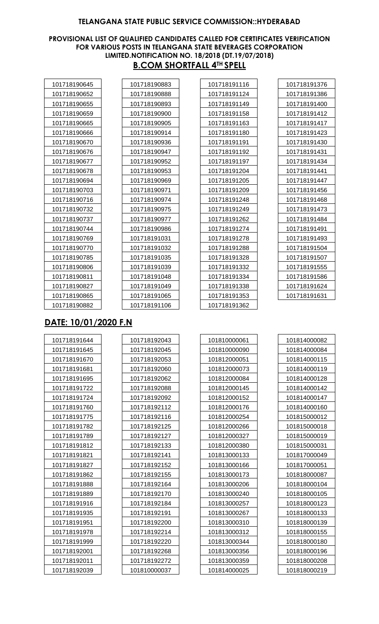#### **PROVISIONAL LIST OF QUALIFIED CANDIDATES CALLED FOR CERTIFICATES VERIFICATION FOR VARIOUS POSTS IN TELANGANA STATE BEVERAGES CORPORATION LIMITED.NOTIFICATION NO. 18/2018 (DT.19/07/2018) B.COM SHORTFALL 4TH SPELL**

| 101718190645 |
|--------------|
| 101718190652 |
| 101718190655 |
| 101718190659 |
| 101718190665 |
| 101718190666 |
| 101718190670 |
| 101718190676 |
| 101718190677 |
| 101718190678 |
| 101718190694 |
| 101718190703 |
| 101718190716 |
| 101718190732 |
| 101718190737 |
| 101718190744 |
| 101718190769 |
| 101718190770 |
| 101718190785 |
| 101718190806 |
| 101718190811 |
| 101718190827 |
| 101718190865 |
| 101718190882 |
|              |

| 101718190883 |  |
|--------------|--|
| 101718190888 |  |
| 101718190893 |  |
| 101718190900 |  |
| 101718190905 |  |
| 101718190914 |  |
| 101718190936 |  |
| 101718190947 |  |
| 101718190952 |  |
| 101718190953 |  |
| 101718190969 |  |
| 101718190971 |  |
| 101718190974 |  |
| 101718190975 |  |
| 101718190977 |  |
| 101718190986 |  |
| 101718191031 |  |
| 101718191032 |  |
| 101718191035 |  |
| 101718191039 |  |
| 101718191048 |  |
| 101718191049 |  |
| 101718191065 |  |
| 101718191106 |  |

| 101718191116 |
|--------------|
| 101718191124 |
| 101718191149 |
| 101718191158 |
| 101718191163 |
| 101718191180 |
| 101718191191 |
| 101718191192 |
| 101718191197 |
| 101718191204 |
| 101718191205 |
| 101718191209 |
| 101718191248 |
| 101718191249 |
| 101718191262 |
| 101718191274 |
| 101718191278 |
| 101718191288 |
| 101718191328 |
| 101718191332 |
| 101718191334 |
| 101718191338 |
| 101718191353 |
| 101718191362 |
|              |

| 101718191376 |
|--------------|
| 101718191386 |
| 101718191400 |
| 101718191412 |
| 101718191417 |
| 101718191423 |
| 101718191430 |
| 101718191431 |
| 101718191434 |
| 101718191441 |
| 101718191447 |
| 101718191456 |
| 101718191468 |
| 101718191473 |
| 101718191484 |
| 101718191491 |
| 101718191493 |
| 101718191504 |
| 101718191507 |
| 101718191555 |
| 101718191586 |
| 101718191624 |
| 101718191631 |
|              |

# **DATE: 10/01/2020 F.N**

| 101718191644 | 101718192043 |
|--------------|--------------|
| 101718191645 | 101718192045 |
| 101718191670 | 101718192053 |
| 101718191681 | 101718192060 |
| 101718191695 | 101718192062 |
| 101718191722 | 101718192088 |
| 101718191724 | 101718192092 |
| 101718191760 | 101718192112 |
| 101718191775 | 101718192116 |
| 101718191782 | 101718192125 |
| 101718191789 | 101718192127 |
| 101718191812 | 101718192133 |
| 101718191821 | 101718192141 |
| 101718191827 | 101718192152 |
| 101718191862 | 101718192155 |
| 101718191888 | 101718192164 |
| 101718191889 | 101718192170 |
| 101718191916 | 101718192184 |
| 101718191935 | 101718192191 |
| 101718191951 | 101718192200 |
| 101718191978 | 101718192214 |
| 101718191999 | 101718192220 |
| 101718192001 | 101718192268 |
| 101718192011 | 101718192272 |
| 101718192039 | 101810000037 |

| 101810000061 |
|--------------|
| 101810000090 |
| 101812000051 |
| 101812000073 |
| 101812000084 |
| 101812000145 |
| 101812000152 |
| 101812000176 |
| 101812000254 |
| 101812000266 |
| 101812000327 |
| 101812000380 |
| 101813000133 |
| 101813000166 |
| 101813000173 |
| 101813000206 |
| 101813000240 |
| 101813000257 |
| 101813000267 |
| 101813000310 |
| 101813000312 |
| 101813000344 |
| 101813000356 |
| 101813000359 |
| 101814000025 |

| 101814000082 |
|--------------|
| 101814000084 |
| 101814000115 |
| 101814000119 |
| 101814000128 |
| 101814000142 |
| 101814000147 |
| 101814000160 |
| 101815000012 |
| 101815000018 |
| 101815000019 |
| 101815000031 |
| 101817000049 |
| 101817000051 |
| 101818000087 |
| 101818000104 |
| 101818000105 |
| 101818000123 |
| 101818000133 |
| 101818000139 |
| 101818000155 |
| 101818000180 |
| 101818000196 |
| 101818000208 |
| 101818000219 |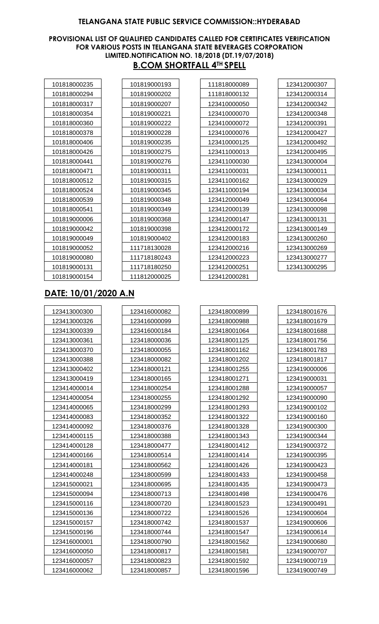#### **PROVISIONAL LIST OF QUALIFIED CANDIDATES CALLED FOR CERTIFICATES VERIFICATION FOR VARIOUS POSTS IN TELANGANA STATE BEVERAGES CORPORATION LIMITED.NOTIFICATION NO. 18/2018 (DT.19/07/2018) B.COM SHORTFALL 4TH SPELL**

| 101818000235 |
|--------------|
| 101818000294 |
| 101818000317 |
| 101818000354 |
| 101818000360 |
| 101818000378 |
| 101818000406 |
| 101818000426 |
| 101818000441 |
| 101818000471 |
| 101818000512 |
| 101818000524 |
| 101818000539 |
| 101818000541 |
| 101819000006 |
| 101819000042 |
| 101819000049 |
| 101819000052 |
| 101819000080 |
| 101819000131 |
| 101819000154 |
|              |

| 101819000193 |
|--------------|
| 101819000202 |
| 101819000207 |
| 101819000221 |
| 101819000222 |
| 101819000228 |
| 101819000235 |
| 101819000275 |
| 101819000276 |
| 101819000311 |
| 101819000315 |
| 101819000345 |
| 101819000348 |
| 101819000349 |
| 101819000368 |
| 101819000398 |
| 101819000402 |
| 111718130028 |
| 111718180243 |
| 111718180250 |
| 111812000025 |

| 111818000089 |
|--------------|
| 111818000132 |
| 123410000050 |
| 123410000070 |
| 123410000072 |
| 123410000076 |
| 123410000125 |
| 123411000013 |
| 123411000030 |
| 123411000031 |
| 123411000162 |
| 123411000194 |
| 123412000049 |
| 123412000139 |
| 123412000147 |
| 123412000172 |
| 123412000183 |
| 123412000216 |
| 123412000223 |
| 123412000251 |
| 123412000281 |
|              |

| 123412000307 |
|--------------|
| 123412000314 |
| 123412000342 |
| 123412000348 |
| 123412000391 |
| 123412000427 |
| 123412000492 |
| 123412000495 |
| 123413000004 |
| 123413000011 |
| 123413000029 |
| 123413000034 |
| 123413000064 |
| 123413000098 |
| 123413000131 |
| 123413000149 |
| 123413000260 |
| 123413000269 |
| 123413000277 |
| 123413000295 |
|              |

# **DATE: 10/01/2020 A.N**

| 123413000300 |  |
|--------------|--|
| 123413000326 |  |
| 123413000339 |  |
| 123413000361 |  |
| 123413000370 |  |
| 123413000388 |  |
| 123413000402 |  |
| 123413000419 |  |
| 123414000014 |  |
| 123414000054 |  |
| 123414000065 |  |
| 123414000083 |  |
| 123414000092 |  |
| 123414000115 |  |
| 123414000128 |  |
| 123414000166 |  |
| 123414000181 |  |
| 123414000248 |  |
| 123415000021 |  |
| 123415000094 |  |
| 123415000116 |  |
| 123415000136 |  |
| 123415000157 |  |
| 123415000196 |  |
| 123416000001 |  |
| 123416000050 |  |
| 123416000057 |  |
| 123416000062 |  |

| 123416000082 |
|--------------|
| 123416000099 |
| 123416000184 |
| 123418000036 |
| 123418000055 |
| 123418000082 |
| 123418000121 |
| 123418000165 |
| 123418000254 |
| 123418000255 |
| 123418000299 |
| 123418000352 |
| 123418000376 |
| 123418000388 |
| 123418000477 |
| 123418000514 |
| 123418000562 |
| 123418000599 |
| 123418000695 |
| 123418000713 |
| 123418000720 |
| 123418000722 |
| 123418000742 |
| 123418000744 |
| 123418000790 |
| 123418000817 |
| 123418000823 |
| 123418000857 |

| 123418000899 |
|--------------|
| 123418000988 |
| 123418001064 |
| 123418001125 |
| 123418001162 |
| 123418001202 |
| 123418001255 |
| 123418001271 |
| 123418001288 |
| 123418001292 |
| 123418001293 |
| 123418001322 |
| 123418001328 |
| 123418001343 |
| 123418001412 |
| 123418001414 |
| 123418001426 |
| 123418001433 |
| 123418001435 |
| 123418001498 |
| 123418001523 |
| 123418001526 |
| 123418001537 |
| 123418001547 |
| 123418001562 |
| 123418001581 |
| 123418001592 |
| 123418001596 |

| 123418001676 |
|--------------|
| 123418001679 |
| 123418001688 |
| 123418001756 |
| 123418001783 |
| 123418001817 |
| 123419000006 |
| 123419000031 |
| 123419000057 |
| 123419000090 |
| 123419000102 |
| 123419000160 |
| 123419000300 |
| 123419000344 |
| 123419000372 |
| 123419000395 |
| 123419000423 |
| 123419000458 |
| 123419000473 |
| 123419000476 |
| 123419000491 |
| 123419000604 |
| 123419000606 |
| 123419000614 |
| 123419000680 |
| 123419000707 |
| 123419000719 |
| 123419000749 |